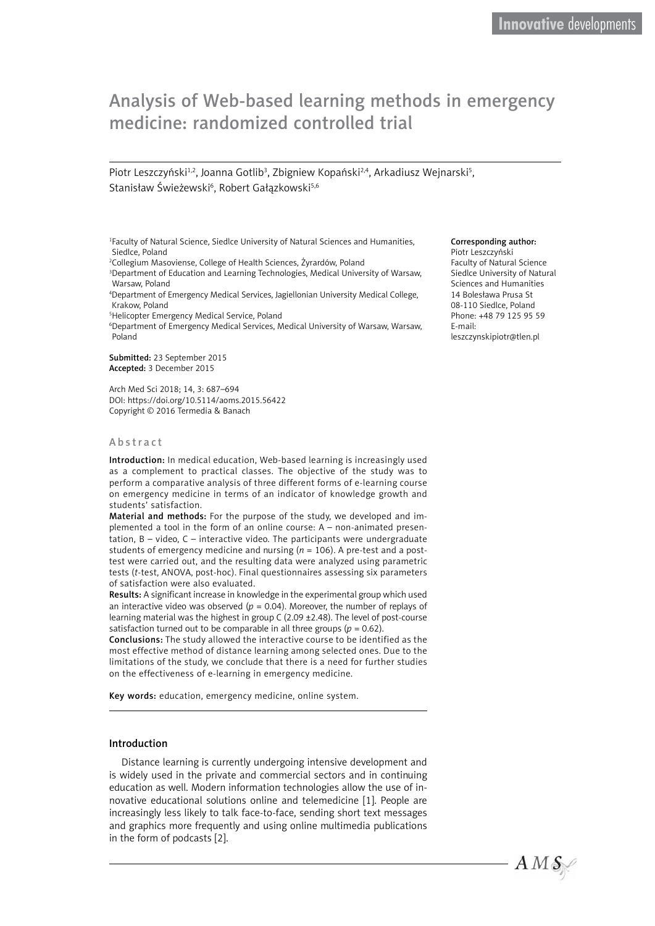# Analysis of Web-based learning methods in emergency medicine: randomized controlled trial

Piotr Leszczyński<sup>1,2</sup>, Joanna Gotlib<sup>3</sup>, Zbigniew Kopański<sup>2,4</sup>, Arkadiusz Wejnarski<sup>5</sup>, Stanisław Świeżewski<sup>6</sup>, Robert Gałązkowski<sup>5,6</sup>

1 Faculty of Natural Science, Siedlce University of Natural Sciences and Humanities, Siedlce, Poland

2 Collegium Masoviense, College of Health Sciences, Żyrardów, Poland

<sup>3</sup>Department of Education and Learning Technologies, Medical University of Warsaw, Warsaw, Poland

4 Department of Emergency Medical Services, Jagiellonian University Medical College, Krakow, Poland

5 Helicopter Emergency Medical Service, Poland

6 Department of Emergency Medical Services, Medical University of Warsaw, Warsaw, Poland

Submitted: 23 September 2015 Accepted: 3 December 2015

Arch Med Sci 2018; 14, 3: 687–694 DOI: https://doi.org/10.5114/aoms.2015.56422 Copyright © 2016 Termedia & Banach

#### Abstract

Introduction: In medical education, Web-based learning is increasingly used as a complement to practical classes. The objective of the study was to perform a comparative analysis of three different forms of e-learning course on emergency medicine in terms of an indicator of knowledge growth and students' satisfaction.

Material and methods: For the purpose of the study, we developed and implemented a tool in the form of an online course: A – non-animated presentation, B – video, C – interactive video. The participants were undergraduate students of emergency medicine and nursing (*n* = 106). A pre-test and a posttest were carried out, and the resulting data were analyzed using parametric tests (*t*-test, ANOVA, post-hoc). Final questionnaires assessing six parameters of satisfaction were also evaluated.

Results: A significant increase in knowledge in the experimental group which used an interactive video was observed ( $p = 0.04$ ). Moreover, the number of replays of learning material was the highest in group C (2.09 ±2.48). The level of post-course satisfaction turned out to be comparable in all three groups ( $p = 0.62$ ).

Conclusions: The study allowed the interactive course to be identified as the most effective method of distance learning among selected ones. Due to the limitations of the study, we conclude that there is a need for further studies on the effectiveness of e-learning in emergency medicine.

Key words: education, emergency medicine, online system.

#### Introduction

Distance learning is currently undergoing intensive development and is widely used in the private and commercial sectors and in continuing education as well. Modern information technologies allow the use of innovative educational solutions online and telemedicine [1]. People are increasingly less likely to talk face-to-face, sending short text messages and graphics more frequently and using online multimedia publications in the form of podcasts [2].

#### Corresponding author:

Piotr Leszczyński Faculty of Natural Science Siedlce University of Natural Sciences and Humanities 14 Bolesława Prusa St 08-110 Siedlce, Poland Phone: +48 79 125 95 59 E-mail: [leszczynskipiotr@tlen.pl](mailto:leszczynskipiotr@tlen.pl?Subject=AMS-05417-2015-02)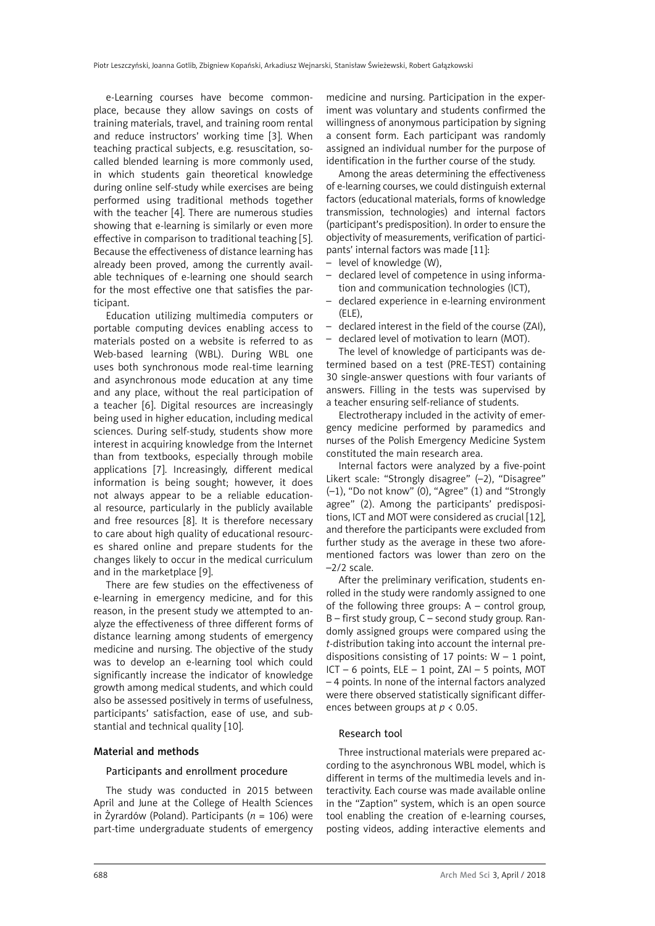e-Learning courses have become commonplace, because they allow savings on costs of training materials, travel, and training room rental and reduce instructors' working time [3]. When teaching practical subjects, e.g. resuscitation, socalled blended learning is more commonly used, in which students gain theoretical knowledge during online self-study while exercises are being performed using traditional methods together with the teacher [4]. There are numerous studies showing that e-learning is similarly or even more effective in comparison to traditional teaching [5]. Because the effectiveness of distance learning has already been proved, among the currently available techniques of e-learning one should search for the most effective one that satisfies the participant.

Education utilizing multimedia computers or portable computing devices enabling access to materials posted on a website is referred to as Web-based learning (WBL). During WBL one uses both synchronous mode real-time learning and asynchronous mode education at any time and any place, without the real participation of a teacher [6]. Digital resources are increasingly being used in higher education, including medical sciences. During self-study, students show more interest in acquiring knowledge from the Internet than from textbooks, especially through mobile applications [7]. Increasingly, different medical information is being sought; however, it does not always appear to be a reliable educational resource, particularly in the publicly available and free resources [8]. It is therefore necessary to care about high quality of educational resources shared online and prepare students for the changes likely to occur in the medical curriculum and in the marketplace [9].

There are few studies on the effectiveness of e-learning in emergency medicine, and for this reason, in the present study we attempted to analyze the effectiveness of three different forms of distance learning among students of emergency medicine and nursing. The objective of the study was to develop an e-learning tool which could significantly increase the indicator of knowledge growth among medical students, and which could also be assessed positively in terms of usefulness, participants' satisfaction, ease of use, and substantial and technical quality [10].

## Material and methods

### Participants and enrollment procedure

The study was conducted in 2015 between April and June at the College of Health Sciences in Żyrardów (Poland). Participants (*n* = 106) were part-time undergraduate students of emergency

medicine and nursing. Participation in the experiment was voluntary and students confirmed the willingness of anonymous participation by signing a consent form. Each participant was randomly assigned an individual number for the purpose of identification in the further course of the study.

Among the areas determining the effectiveness of e-learning courses, we could distinguish external factors (educational materials, forms of knowledge transmission, technologies) and internal factors (participant's predisposition). In order to ensure the objectivity of measurements, verification of participants' internal factors was made [11]:

- level of knowledge (W),
- declared level of competence in using information and communication technologies (ICT),
- declared experience in e-learning environment  $(F|F)$ .
- declared interest in the field of the course (ZAI),
- declared level of motivation to learn (MOT).

The level of knowledge of participants was determined based on a test (PRE-TEST) containing 30 single-answer questions with four variants of answers. Filling in the tests was supervised by a teacher ensuring self-reliance of students.

Electrotherapy included in the activity of emergency medicine performed by paramedics and nurses of the Polish Emergency Medicine System constituted the main research area.

Internal factors were analyzed by a five-point Likert scale: "Strongly disagree" (–2), "Disagree" (–1), "Do not know" (0), "Agree" (1) and "Strongly agree" (2). Among the participants' predispositions, ICT and MOT were considered as crucial [12], and therefore the participants were excluded from further study as the average in these two aforementioned factors was lower than zero on the  $-2/2$  scale.

After the preliminary verification, students enrolled in the study were randomly assigned to one of the following three groups: A – control group, B – first study group, C – second study group. Randomly assigned groups were compared using the *t*-distribution taking into account the internal predispositions consisting of 17 points:  $W - 1$  point,  $ICT - 6 points, ELE - 1 point, ZAI - 5 points, MOT$ – 4 points. In none of the internal factors analyzed were there observed statistically significant differences between groups at *p* < 0.05.

### Research tool

Three instructional materials were prepared according to the asynchronous WBL model, which is different in terms of the multimedia levels and interactivity. Each course was made available online in the "Zaption" system, which is an open source tool enabling the creation of e-learning courses, posting videos, adding interactive elements and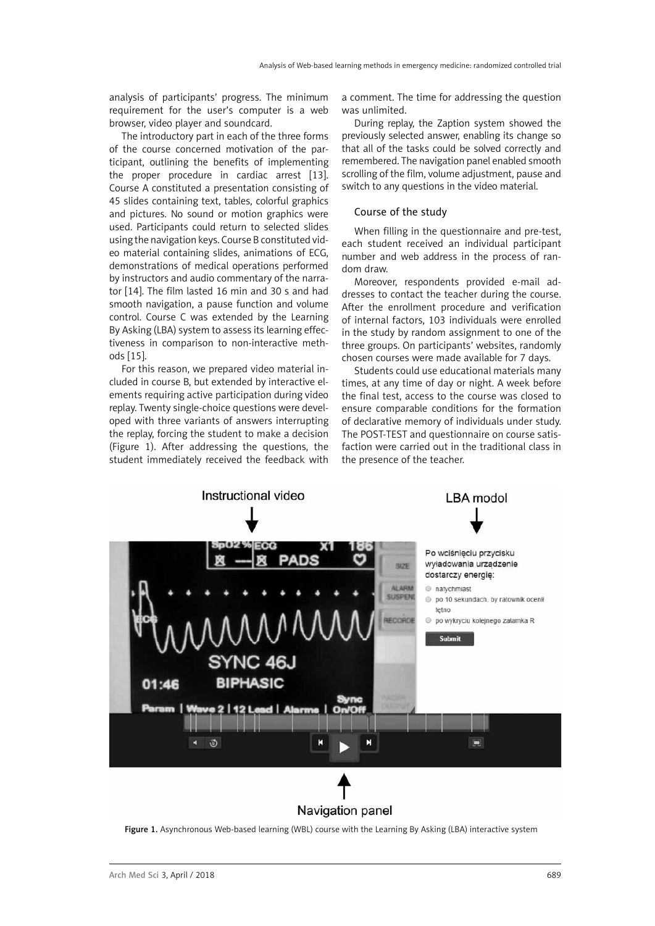analysis of participants' progress. The minimum requirement for the user's computer is a web browser, video player and soundcard.

The introductory part in each of the three forms of the course concerned motivation of the participant, outlining the benefits of implementing the proper procedure in cardiac arrest [13]. Course A constituted a presentation consisting of 45 slides containing text, tables, colorful graphics and pictures. No sound or motion graphics were used. Participants could return to selected slides using the navigation keys. Course B constituted video material containing slides, animations of ECG, demonstrations of medical operations performed by instructors and audio commentary of the narrator [14]. The film lasted 16 min and 30 s and had smooth navigation, a pause function and volume control. Course C was extended by the Learning By Asking (LBA) system to assess its learning effectiveness in comparison to non-interactive methods [15].

For this reason, we prepared video material included in course B, but extended by interactive elements requiring active participation during video replay. Twenty single-choice questions were developed with three variants of answers interrupting the replay, forcing the student to make a decision (Figure 1). After addressing the questions, the student immediately received the feedback with a comment. The time for addressing the question was unlimited.

During replay, the Zaption system showed the previously selected answer, enabling its change so that all of the tasks could be solved correctly and remembered. The navigation panel enabled smooth scrolling of the film, volume adjustment, pause and switch to any questions in the video material.

## Course of the study

When filling in the questionnaire and pre-test, each student received an individual participant number and web address in the process of random draw.

Moreover, respondents provided e-mail addresses to contact the teacher during the course. After the enrollment procedure and verification of internal factors, 103 individuals were enrolled in the study by random assignment to one of the three groups. On participants' websites, randomly chosen courses were made available for 7 days.

Students could use educational materials many times, at any time of day or night. A week before the final test, access to the course was closed to ensure comparable conditions for the formation of declarative memory of individuals under study. The POST-TEST and questionnaire on course satisfaction were carried out in the traditional class in the presence of the teacher.



Navigation panel

Figure 1. Asynchronous Web-based learning (WBL) course with the Learning By Asking (LBA) interactive system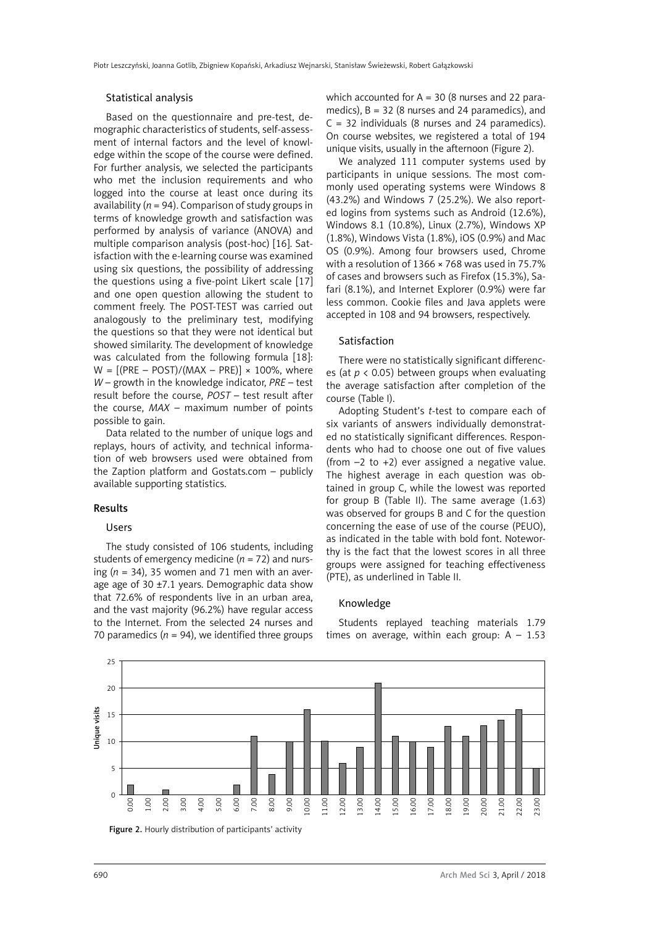### Statistical analysis

Based on the questionnaire and pre-test, demographic characteristics of students, self-assessment of internal factors and the level of knowledge within the scope of the course were defined. For further analysis, we selected the participants who met the inclusion requirements and who logged into the course at least once during its availability ( $n = 94$ ). Comparison of study groups in terms of knowledge growth and satisfaction was performed by analysis of variance (ANOVA) and multiple comparison analysis (post-hoc) [16]. Satisfaction with the e-learning course was examined using six questions, the possibility of addressing the questions using a five-point Likert scale [17] and one open question allowing the student to comment freely. The POST-TEST was carried out analogously to the preliminary test, modifying the questions so that they were not identical but showed similarity. The development of knowledge was calculated from the following formula [18]:  $W = [(PRE - POST)/(MAX - PRE)] \times 100\%$ , where *W* – growth in the knowledge indicator, *PRE* – test result before the course, *POST* – test result after the course, *MAX* – maximum number of points possible to gain.

Data related to the number of unique logs and replays, hours of activity, and technical information of web browsers used were obtained from the Zaption platform and Gostats.com – publicly available supporting statistics.

### Results

# Users

The study consisted of 106 students, including students of emergency medicine  $(n = 72)$  and nursing  $(n = 34)$ , 35 women and 71 men with an average age of 30  $\pm$ 7.1 years. Demographic data show that 72.6% of respondents live in an urban area, and the vast majority (96.2%) have regular access to the Internet. From the selected 24 nurses and 70 paramedics ( $n = 94$ ), we identified three groups which accounted for  $A = 30$  (8 nurses and 22 paramedics),  $B = 32$  (8 nurses and 24 paramedics), and  $C = 32$  individuals (8 nurses and 24 paramedics). On course websites, we registered a total of 194 unique visits, usually in the afternoon (Figure 2).

We analyzed 111 computer systems used by participants in unique sessions. The most commonly used operating systems were Windows 8 (43.2%) and Windows 7 (25.2%). We also reported logins from systems such as Android (12.6%), Windows 8.1 (10.8%), Linux (2.7%), Windows XP (1.8%), Windows Vista (1.8%), iOS (0.9%) and Mac OS (0.9%). Among four browsers used, Chrome with a resolution of 1366 × 768 was used in 75.7% of cases and browsers such as Firefox (15.3%), Safari (8.1%), and Internet Explorer (0.9%) were far less common. Cookie files and Java applets were accepted in 108 and 94 browsers, respectively.

## Satisfaction

There were no statistically significant differences (at *p* < 0.05) between groups when evaluating the average satisfaction after completion of the course (Table I).

Adopting Student's *t*-test to compare each of six variants of answers individually demonstrated no statistically significant differences. Respondents who had to choose one out of five values (from  $-2$  to  $+2$ ) ever assigned a negative value. The highest average in each question was obtained in group C, while the lowest was reported for group B (Table II). The same average (1.63) was observed for groups B and C for the question concerning the ease of use of the course (PEUO), as indicated in the table with bold font. Noteworthy is the fact that the lowest scores in all three groups were assigned for teaching effectiveness (PTE), as underlined in Table II.

### Knowledge

Students replayed teaching materials 1.79 times on average, within each group:  $A - 1.53$ 



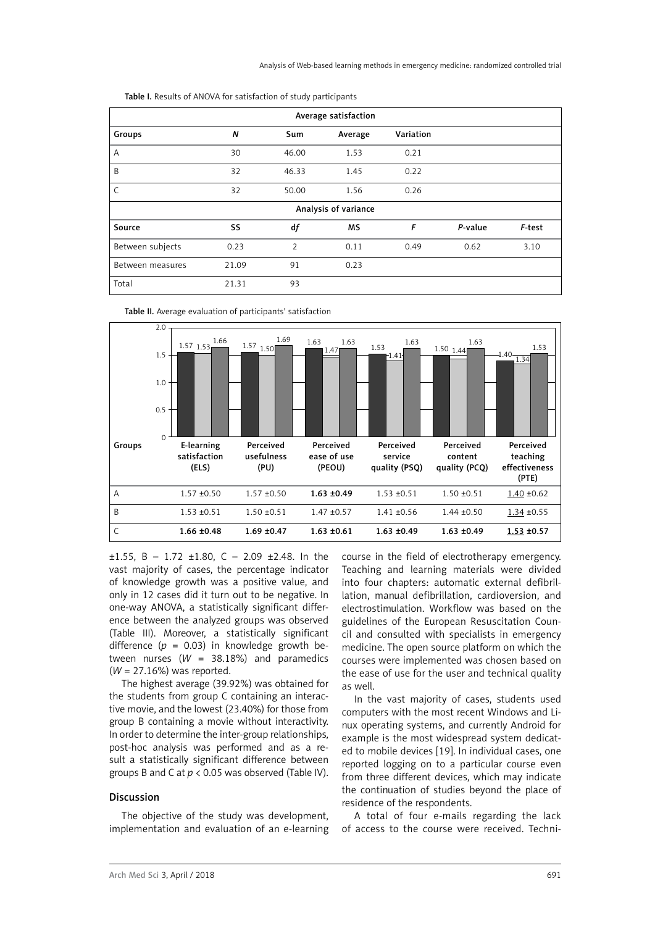| Average satisfaction |                  |       |         |           |         |        |  |
|----------------------|------------------|-------|---------|-----------|---------|--------|--|
| Groups               | $\boldsymbol{N}$ | Sum   | Average | Variation |         |        |  |
| A                    | 30               | 46.00 | 1.53    | 0.21      |         |        |  |
| B                    | 32               | 46.33 | 1.45    | 0.22      |         |        |  |
| C                    | 32               | 50.00 | 1.56    | 0.26      |         |        |  |
| Analysis of variance |                  |       |         |           |         |        |  |
| Source               | SS               | df    | MS      | F         | P-value | F-test |  |
| Between subjects     | 0.23             | 2     | 0.11    | 0.49      | 0.62    | 3.10   |  |
| Between measures     | 21.09            | 91    | 0.23    |           |         |        |  |
| Total                | 21.31            | 93    |         |           |         |        |  |

Table I. Results of ANOVA for satisfaction of study participants



Table II. Average evaluation of participants' satisfaction

 $\pm 1.55$ , B - 1.72  $\pm 1.80$ , C - 2.09  $\pm 2.48$ . In the vast majority of cases, the percentage indicator of knowledge growth was a positive value, and only in 12 cases did it turn out to be negative. In one-way ANOVA, a statistically significant difference between the analyzed groups was observed (Table III). Moreover, a statistically significant difference  $(p = 0.03)$  in knowledge growth between nurses (*W* = 38.18%) and paramedics (*W* = 27.16%) was reported.

The highest average (39.92%) was obtained for the students from group C containing an interactive movie, and the lowest (23.40%) for those from group B containing a movie without interactivity. In order to determine the inter-group relationships, post-hoc analysis was performed and as a result a statistically significant difference between groups B and C at *p* < 0.05 was observed (Table IV).

#### Discussion

The objective of the study was development, implementation and evaluation of an e-learning course in the field of electrotherapy emergency. Teaching and learning materials were divided into four chapters: automatic external defibrillation, manual defibrillation, cardioversion, and electrostimulation. Workflow was based on the guidelines of the European Resuscitation Council and consulted with specialists in emergency medicine. The open source platform on which the courses were implemented was chosen based on the ease of use for the user and technical quality as well.

In the vast majority of cases, students used computers with the most recent Windows and Linux operating systems, and currently Android for example is the most widespread system dedicated to mobile devices [19]. In individual cases, one reported logging on to a particular course even from three different devices, which may indicate the continuation of studies beyond the place of residence of the respondents.

A total of four e-mails regarding the lack of access to the course were received. Techni-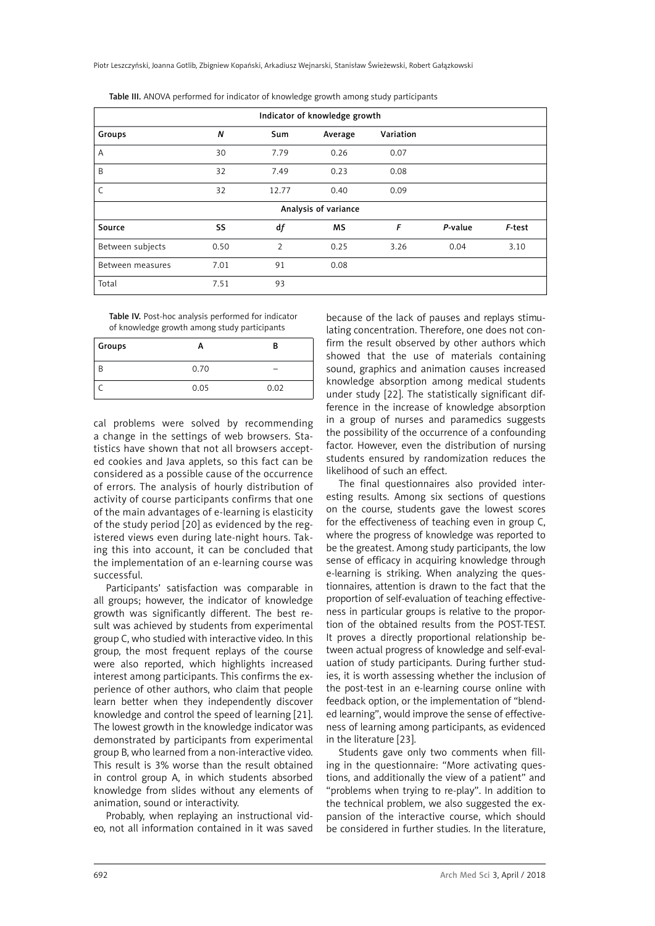| Indicator of knowledge growth |      |                |           |           |         |        |  |
|-------------------------------|------|----------------|-----------|-----------|---------|--------|--|
| Groups                        | N    | Sum            | Average   | Variation |         |        |  |
| A                             | 30   | 7.79           | 0.26      | 0.07      |         |        |  |
| B                             | 32   | 7.49           | 0.23      | 0.08      |         |        |  |
| C                             | 32   | 12.77          | 0.40      | 0.09      |         |        |  |
| Analysis of variance          |      |                |           |           |         |        |  |
| Source                        | SS   | df             | <b>MS</b> | F         | P-value | F-test |  |
| Between subjects              | 0.50 | $\overline{2}$ | 0.25      | 3.26      | 0.04    | 3.10   |  |
| Between measures              | 7.01 | 91             | 0.08      |           |         |        |  |
| Total                         | 7.51 | 93             |           |           |         |        |  |

Table III. ANOVA performed for indicator of knowledge growth among study participants

Table IV. Post-hoc analysis performed for indicator of knowledge growth among study participants

| Groups |      | в    |
|--------|------|------|
|        | 0.70 | -    |
|        | 0.05 | 0.02 |

cal problems were solved by recommending a change in the settings of web browsers. Statistics have shown that not all browsers accepted cookies and Java applets, so this fact can be considered as a possible cause of the occurrence of errors. The analysis of hourly distribution of activity of course participants confirms that one of the main advantages of e-learning is elasticity of the study period [20] as evidenced by the registered views even during late-night hours. Taking this into account, it can be concluded that the implementation of an e-learning course was successful.

Participants' satisfaction was comparable in all groups; however, the indicator of knowledge growth was significantly different. The best result was achieved by students from experimental group C, who studied with interactive video. In this group, the most frequent replays of the course were also reported, which highlights increased interest among participants. This confirms the experience of other authors, who claim that people learn better when they independently discover knowledge and control the speed of learning [21]. The lowest growth in the knowledge indicator was demonstrated by participants from experimental group B, who learned from a non-interactive video. This result is 3% worse than the result obtained in control group A, in which students absorbed knowledge from slides without any elements of animation, sound or interactivity.

Probably, when replaying an instructional video, not all information contained in it was saved

because of the lack of pauses and replays stimulating concentration. Therefore, one does not confirm the result observed by other authors which showed that the use of materials containing sound, graphics and animation causes increased knowledge absorption among medical students under study [22]. The statistically significant difference in the increase of knowledge absorption in a group of nurses and paramedics suggests the possibility of the occurrence of a confounding factor. However, even the distribution of nursing students ensured by randomization reduces the likelihood of such an effect.

The final questionnaires also provided interesting results. Among six sections of questions on the course, students gave the lowest scores for the effectiveness of teaching even in group C, where the progress of knowledge was reported to be the greatest. Among study participants, the low sense of efficacy in acquiring knowledge through e-learning is striking. When analyzing the questionnaires, attention is drawn to the fact that the proportion of self-evaluation of teaching effectiveness in particular groups is relative to the proportion of the obtained results from the POST-TEST. It proves a directly proportional relationship between actual progress of knowledge and self-evaluation of study participants. During further studies, it is worth assessing whether the inclusion of the post-test in an e-learning course online with feedback option, or the implementation of "blended learning", would improve the sense of effectiveness of learning among participants, as evidenced in the literature [23].

Students gave only two comments when filling in the questionnaire: "More activating questions, and additionally the view of a patient" and "problems when trying to re-play". In addition to the technical problem, we also suggested the expansion of the interactive course, which should be considered in further studies. In the literature,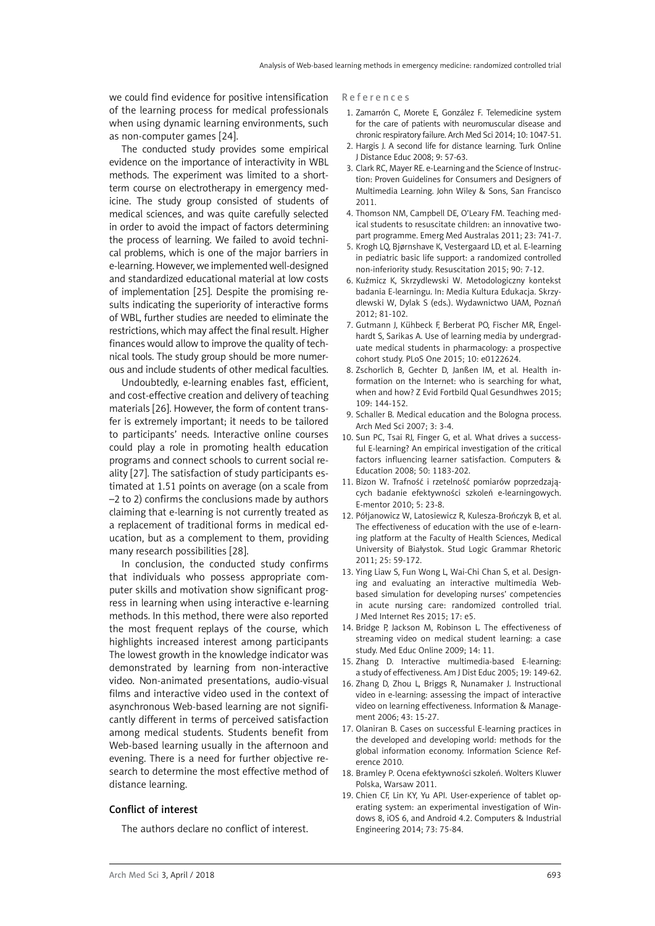we could find evidence for positive intensification of the learning process for medical professionals when using dynamic learning environments, such as non-computer games [24].

The conducted study provides some empirical evidence on the importance of interactivity in WBL methods. The experiment was limited to a shortterm course on electrotherapy in emergency medicine. The study group consisted of students of medical sciences, and was quite carefully selected in order to avoid the impact of factors determining the process of learning. We failed to avoid technical problems, which is one of the major barriers in e-learning. However, we implemented well-designed and standardized educational material at low costs of implementation [25]. Despite the promising results indicating the superiority of interactive forms of WBL, further studies are needed to eliminate the restrictions, which may affect the final result. Higher finances would allow to improve the quality of technical tools. The study group should be more numerous and include students of other medical faculties.

Undoubtedly, e-learning enables fast, efficient, and cost-effective creation and delivery of teaching materials [26]. However, the form of content transfer is extremely important; it needs to be tailored to participants' needs. Interactive online courses could play a role in promoting health education programs and connect schools to current social reality [27]. The satisfaction of study participants estimated at 1.51 points on average (on a scale from –2 to 2) confirms the conclusions made by authors claiming that e-learning is not currently treated as a replacement of traditional forms in medical education, but as a complement to them, providing many research possibilities [28].

In conclusion, the conducted study confirms that individuals who possess appropriate computer skills and motivation show significant progress in learning when using interactive e-learning methods. In this method, there were also reported the most frequent replays of the course, which highlights increased interest among participants The lowest growth in the knowledge indicator was demonstrated by learning from non-interactive video. Non-animated presentations, audio-visual films and interactive video used in the context of asynchronous Web-based learning are not significantly different in terms of perceived satisfaction among medical students. Students benefit from Web-based learning usually in the afternoon and evening. There is a need for further objective research to determine the most effective method of distance learning.

### Conflict of interest

The authors declare no conflict of interest.

References

- 1. Zamarrón C, Morete E, González F. Telemedicine system for the care of patients with neuromuscular disease and chronic respiratory failure. Arch Med Sci 2014; 10: 1047-51.
- 2. Hargis J. A second life for distance learning. Turk Online J Distance Educ 2008; 9: 57-63.
- 3. Clark RC, Mayer RE. e-Learning and the Science of Instruction: Proven Guidelines for Consumers and Designers of Multimedia Learning. John Wiley & Sons, San Francisco 2011.
- 4. [Thomson NM](http://www.ncbi.nlm.nih.gov/pubmed/?term=Thomson%20NM%5BAuthor%5D&cauthor=true&cauthor_uid=22151673), [Campbell DE](http://www.ncbi.nlm.nih.gov/pubmed/?term=Campbell%20DE%5BAuthor%5D&cauthor=true&cauthor_uid=22151673), [O'Leary FM.](http://www.ncbi.nlm.nih.gov/pubmed/?term=O%27Leary%20FM%5BAuthor%5D&cauthor=true&cauthor_uid=22151673) Teaching medical students to resuscitate children: an innovative twopart programme. Emerg Med Australas 2011; 23: 741-7.
- 5. [Krogh LQ](http://www.ncbi.nlm.nih.gov/pubmed/?term=Krogh%20LQ%5BAuthor%5D&cauthor=true&cauthor_uid=25680824), [Bjørnshave K](http://www.ncbi.nlm.nih.gov/pubmed/?term=Bj%C3%B8rnshave%20K%5BAuthor%5D&cauthor=true&cauthor_uid=25680824), [Vestergaard LD](http://www.ncbi.nlm.nih.gov/pubmed/?term=Vestergaard%20LD%5BAuthor%5D&cauthor=true&cauthor_uid=25680824), et al. E-learning in pediatric basic life support: a randomized controlled non-inferiority study. Resuscitation 2015; 90: 7-12.
- 6. Kuźmicz K, Skrzydlewski W. Metodologiczny kontekst badania E-learningu. In: Media Kultura Edukacja. Skrzydlewski W, Dylak S (eds.). Wydawnictwo UAM, Poznań 2012; 81-102.
- 7. [Gutmann J,](http://www.ncbi.nlm.nih.gov/pubmed/?term=Gutmann%20J%5BAuthor%5D&cauthor=true&cauthor_uid=25849565) [Kühbeck F](http://www.ncbi.nlm.nih.gov/pubmed/?term=K%C3%BChbeck%20F%5BAuthor%5D&cauthor=true&cauthor_uid=25849565), [Berberat PO](http://www.ncbi.nlm.nih.gov/pubmed/?term=Berberat%20PO%5BAuthor%5D&cauthor=true&cauthor_uid=25849565), Fischer MR, Engelhardt S, Sarikas A. Use of learning media by undergraduate medical students in pharmacology: a prospective cohort study. [PLoS One](http://www.ncbi.nlm.nih.gov/pubmed/25849565) 2015; 10: e0122624.
- 8. [Zschorlich B,](http://www.ncbi.nlm.nih.gov/pubmed/?term=Zschorlich%20B%5BAuthor%5D&cauthor=true&cauthor_uid=26028452) [Gechter D,](http://www.ncbi.nlm.nih.gov/pubmed/?term=Gechter%20D%5BAuthor%5D&cauthor=true&cauthor_uid=26028452) [Janßen IM,](http://www.ncbi.nlm.nih.gov/pubmed/?term=Jan%C3%9Fen%20IM%5BAuthor%5D&cauthor=true&cauthor_uid=26028452) et al. Health information on the Internet: who is searching for what, when and how? Z Evid Fortbild Qual Gesundhwes 2015; 109: 144-152.
- 9. Schaller B. Medical education and the Bologna process. Arch Med Sci 2007; 3: 3-4.
- 10. Sun PC, Tsai RJ, Finger G, et al. What drives a successful E-learning? An empirical investigation of the critical factors influencing learner satisfaction. Computers & Education 2008; 50: 1183-202.
- 11. Bizon W. Trafność i rzetelność pomiarów poprzedzających badanie efektywności szkoleń e-learningowych. E-mentor 2010; 5: 23-8.
- 12. Półjanowicz W, Latosiewicz R, Kulesza-Brończyk B, et al. The effectiveness of education with the use of e-learning platform at the Faculty of Health Sciences, Medical University of Białystok. Stud Logic Grammar Rhetoric 2011; 25: 59-172.
- 13. [Ying Liaw](http://www.ncbi.nlm.nih.gov/pubmed/?term=Liaw%20SY%5Bauth%5D) S, [Fun Wong](http://www.ncbi.nlm.nih.gov/pubmed/?term=Wong%20LF%5Bauth%5D) L, [Wai-Chi Chan](http://www.ncbi.nlm.nih.gov/pubmed/?term=Chan%20SW%5Bauth%5D) S, et al. Designing and evaluating an interactive multimedia Webbased simulation for developing nurses' competencies in acute nursing care: randomized controlled trial. J Med Internet Res 2015; 17: e5.
- 14. [Bridge](http://www.ncbi.nlm.nih.gov/pubmed/?term=Bridge%20PD%5Bauth%5D) P, [Jackson](http://www.ncbi.nlm.nih.gov/pubmed/?term=Jackson%20M%5Bauth%5D) M, [Robinson](http://www.ncbi.nlm.nih.gov/pubmed/?term=Robinson%20L%5Bauth%5D) L. The effectiveness of streaming video on medical student learning: a case study. Med Educ Online 2009; 14: 11.
- 15. [Zhang](http://www.sciencedirect.com/science/article/pii/S0378720605000170) D. Interactive multimedia-based E-learning: a study of effectiveness. Am J Dist Educ 2005; 19: 149-62.
- 16. [Zhang](http://www.sciencedirect.com/science/article/pii/S0378720605000170) D, Zhou L, [Briggs](http://www.sciencedirect.com/science/article/pii/S0378720605000170) R, Nunamaker J. Instructional video in e-learning: assessing the impact of interactive video on learning effectiveness. [Information & Manage](http://www.sciencedirect.com/science/journal/03787206)[ment](http://www.sciencedirect.com/science/journal/03787206) 2006; 43: 15-27.
- 17. Olaniran B. Cases on successful E-learning practices in the developed and developing world: methods for the global information economy. Information Science Reference 2010.
- 18. Bramley P. Ocena efektywności szkoleń. Wolters Kluwer Polska, Warsaw 2011.
- 19. Chien CF, Lin KY, Yu API. [User-experience of tablet op](http://www.sciencedirect.com/science/article/pii/S0360835214001260)[erating system: an experimental investigation of Win](http://www.sciencedirect.com/science/article/pii/S0360835214001260)[dows 8, iOS 6, and Android 4.2.](http://www.sciencedirect.com/science/article/pii/S0360835214001260) Computers & Industrial Engineering 2014; 73: 75-84.